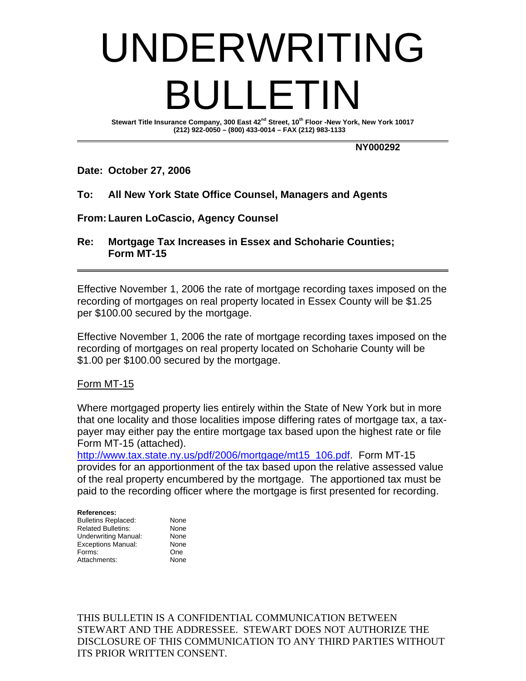# UNDERWRITING BULLETIN

Stewart Title Insurance Company, 300 East 42<sup>nd</sup> Street, 10<sup>th</sup> Floor -New York, New York 10017  **(212) 922-0050 – (800) 433-0014 – FAX (212) 983-1133** 

## **NY000292**

## **Date: October 27, 2006**

## **To: All New York State Office Counsel, Managers and Agents**

## **From: Lauren LoCascio, Agency Counsel**

**Re: Mortgage Tax Increases in Essex and Schoharie Counties; Form MT-15** 

Effective November 1, 2006 the rate of mortgage recording taxes imposed on the recording of mortgages on real property located in Essex County will be \$1.25 per \$100.00 secured by the mortgage.

Effective November 1, 2006 the rate of mortgage recording taxes imposed on the recording of mortgages on real property located on Schoharie County will be \$1.00 per \$100.00 secured by the mortgage.

## Form MT-15

Where mortgaged property lies entirely within the State of New York but in more that one locality and those localities impose differing rates of mortgage tax, a taxpayer may either pay the entire mortgage tax based upon the highest rate or file Form MT-15 (attached).

http://www.tax.state.ny.us/pdf/2006/mortgage/mt15\_106.pdf. Form MT-15 provides for an apportionment of the tax based upon the relative assessed value of the real property encumbered by the mortgage. The apportioned tax must be paid to the recording officer where the mortgage is first presented for recording.

| None |
|------|
| None |
| None |
| None |
| One  |
| None |
|      |

THIS BULLETIN IS A CONFIDENTIAL COMMUNICATION BETWEEN STEWART AND THE ADDRESSEE. STEWART DOES NOT AUTHORIZE THE DISCLOSURE OF THIS COMMUNICATION TO ANY THIRD PARTIES WITHOUT ITS PRIOR WRITTEN CONSENT.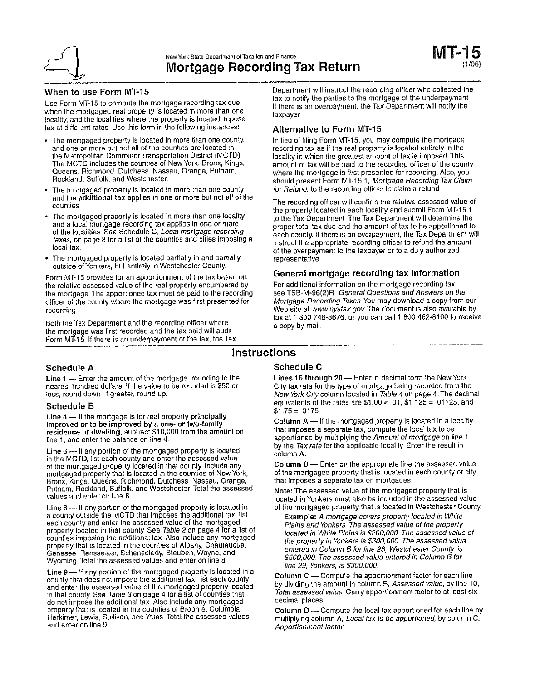

#### When to use Form MT-15

Use Form MT-15 to compute the mortgage recording tax due when the mortgaged real property is located in more than one locality, and the localities where the property is located impose tax at different rates. Use this form in the following instances:

- The mortgaged property is located in more than one county. and one or more but not all of the counties are located in the Metropolitan Commuter Transportation District (MCTD) The MCTD includes the counties of New York, Bronx, Kings, Queens. Richmond, Dutchess. Nassau, Orange, Putnam, Rockland, Suffolk, and Westchester
- The mortgaged property is located in more than one county and the additional tax applies in one or more but not all of the counties
- The mortgaged property is located in more than one locality, and a local mortgage recording tax applies in one or more of the localities. See Schedule C, Local mortgage recording taxes, on page 3 for a list of the counties and cities imposing a local tax.
- The mortgaged property is located partially in and partially outside of Yonkers, but entirely in Westchester County.

Form MT-15 provides for an apportionment of the tax based on the relative assessed value of the real property encumbered by the mortgage. The apportioned tax must be paid to the recording officer of the county where the mortgage was first presented for recording

Both the Tax Department and the recording officer where the mortgage was first recorded and the tax paid will audit Form MT-15. If there is an underpayment of the tax, the Tax Department will instruct the recording officer who collected the tax to notify the parties to the mortgage of the underpayment. If there is an overpayment, the Tax Department will notify the taxpayer.

#### **Alternative to Form MT-15**

In lieu of filing Form MT-15, you may compute the mortgage recording tax as if the real property is located entirely in the locality in which the greatest amount of tax is imposed. This amount of tax will be paid to the recording officer of the county where the mortgage is first presented for recording. Also, you should present Form MT-15 1, Mortgage Recording Tax Claim for Refund, to the recording officer to claim a refund.

The recording officer will confirm the relative assessed value of the property located in each locality and submit Form MT-15-1 to the Tax Department. The Tax Department will determine the proper total tax due and the amount of tax to be apportioned to each county. If there is an overpayment, the Tax Department will instruct the appropriate recording officer to refund the amount of the overpayment to the taxpayer or to a duly authorized representative

## General mortgage recording tax information

For additional information on the mortgage recording tax, see TSB-M-96(2)R, General Questions and Answers on the Mortgage Recording Taxes. You may download a copy from our Web site at www.nystax.gov. The document is also available by fax at 1 800 748-3676, or you can call 1 800 462-8100 to receive a copy by mail.

## **Instructions**

#### **Schedule A**

Line  $1$  - Enter the amount of the mortgage, rounding to the nearest hundred dollars If the value to be rounded is \$50 or less, round down. If greater, round up.

#### **Schedule B**

Line  $4$  - If the mortgage is for real property principally improved or to be improved by a one- or two-family residence or dwelling, subtract \$10,000 from the amount on<br>line 1, and enter the balance on line 4.

Line 6 - If any portion of the mortgaged property is located in the MCTD, list each county and enter the assessed value of the mortgaged property located in that county. Include any mortgaged property that is located in the counties of New York, Bronx, Kings, Queens, Richmond, Dutchess, Nassau, Orange, Putnam, Rockland, Suffolk, and Westchester. Total the assessed values and enter on line 6

Line 8 - If any portion of the mortgaged property is located in a county outside the MCTD that imposes the additional tax, list each county and enter the assessed value of the mortgaged property located in that county. See Table 2 on page 4 for a list of<br>counties imposing the additional tax. Also include any mortgaged property that is located in the counties of Albany, Chautauqua, Genesee, Rensselaer, Schenectady, Steuben, Wayne, and Wyoming. Total the assessed values and enter on line 8.

Line 9 - If any portion of the mortgaged property is located in a county that does not impose the additional tax, list each county and enter the assessed value of the mortgaged property located in that county. See Table 3 on page 4 for a list of counties that do not impose the additional tax. Also include any mortgaged property that is located in the counties of Broome, Columbia. Herkimer, Lewis, Sullivan, and Yates Total the assessed values and enter on line 9

#### Schedule C

Lines 16 through 20 - Enter in decimal form the New York City tax rate for the type of mortgage being recorded from the New York City column located in Table 4 on page 4. The decimal equivalents of the rates are  $$1.00 = .01, $1.\overline{125} = .01125, and$  $$1.75 = .0175$ 

Column  $A -$  If the mortgaged property is located in a locality that imposes a separate tax, compute the local tax to be apportioned by multiplying the Amount of mortgage on line 1 by the Tax rate for the applicable locality. Enter the result in column A.

Column B - Enter on the appropriate line the assessed value of the mortgaged property that is located in each county or city that imposes a separate tax on mortgages.

Note: The assessed value of the mortgaged property that is located in Yonkers must also be included in the assessed value of the mortgaged property that is located in Westchester County.

Example: A mortgage covers property located in White Plains and Yonkers The assessed value of the property located in White Plains is \$200,000. The assessed value of the property in Yonkers is \$300,000 The assessed value entered in Column B for line 28, Westchester County, is \$500,000. The assessed value entered in Column B for line 29, Yonkers, is \$300,000.

Column C - Compute the apportionment factor for each line by dividing the amount in column B, Assessed value, by line 10, Total assessed value. Carry apportionment factor to at least six decimal places

Column D - Compute the local tax apportioned for each line by multiplying column A, Local tax to be apportioned, by column C, Apportionment factor.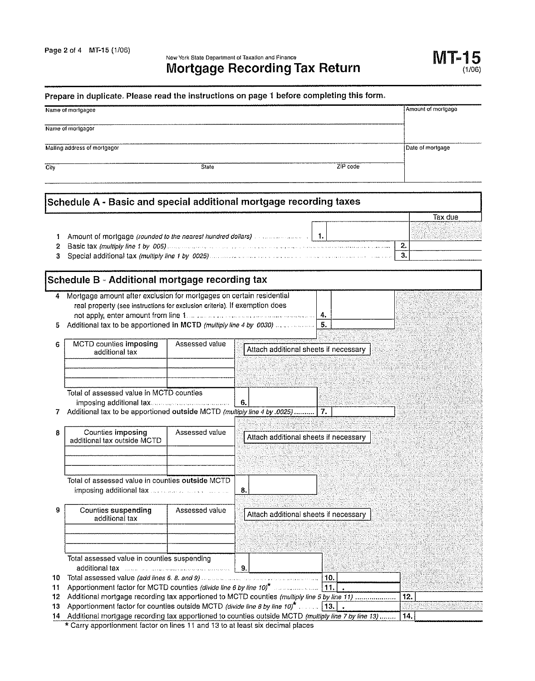New York State Department of Taxation and Finance **Mortgage Recording Tax Return** 

# Prepare in duplicate. Please read the instructions on page 1 before completing this form.

|        | Name of mortgagee                                                                   |                |    |                                       | Amount of mortgage |
|--------|-------------------------------------------------------------------------------------|----------------|----|---------------------------------------|--------------------|
|        | Name of mortgagor                                                                   |                |    |                                       |                    |
|        | Mailing address of mortgagor                                                        |                |    |                                       | Date of mortgage   |
| City   |                                                                                     | State          |    | ZIP code                              |                    |
|        | Schedule A - Basic and special additional mortgage recording taxes                  |                |    |                                       |                    |
|        |                                                                                     |                |    |                                       | Tax due            |
|        |                                                                                     |                |    |                                       |                    |
| 1<br>2 | Amount of mortgage (rounded to the nearest hundred dollars) and all any contract of |                |    | $\blacksquare$                        | 2.                 |
| 3      |                                                                                     |                |    |                                       | з.                 |
|        |                                                                                     |                |    |                                       |                    |
|        | Schedule B - Additional mortgage recording tax                                      |                |    |                                       |                    |
| 4      | Mortgage amount after exclusion for mortgages on certain residential                |                |    |                                       |                    |
|        | real property (see instructions for exclusion criteria). If exemption does          |                |    |                                       |                    |
|        |                                                                                     |                |    | 4.                                    |                    |
| 5      | Additional tax to be apportioned in MCTD (multiply line 4 by 0030)                  |                |    | 5.                                    |                    |
| 6      | MCTD counties imposing                                                              | Assessed value |    |                                       |                    |
|        | additional tax                                                                      |                |    | Attach additional sheets if necessary |                    |
|        |                                                                                     |                |    |                                       |                    |
|        |                                                                                     |                |    |                                       |                    |
|        |                                                                                     |                |    |                                       |                    |
|        | Total of assessed value in MCTD counties                                            |                | 6. |                                       |                    |
| 7      | Additional tax to be apportioned outside MCTD (multiply line 4 by .0025)            |                |    | 7.                                    |                    |
|        |                                                                                     |                |    |                                       |                    |
| 8      | Counties imposing                                                                   | Assessed value |    | Attach additional sheets if necessary |                    |
|        | additional tax outside MCTD                                                         |                |    |                                       |                    |
|        |                                                                                     |                |    |                                       |                    |
|        |                                                                                     |                |    |                                       |                    |
|        | Total of assessed value in counties outside MCTD                                    |                |    |                                       |                    |
|        |                                                                                     |                | 8. |                                       |                    |
|        |                                                                                     |                |    |                                       |                    |
| 9      | <b>Counties suspending</b><br>additional tax                                        | Assessed value |    | Attach additional sheets if necessary |                    |
|        |                                                                                     |                |    |                                       |                    |
|        |                                                                                     |                |    |                                       |                    |
|        |                                                                                     |                |    |                                       |                    |
|        | Total assessed value in counties suspending                                         |                |    |                                       |                    |
|        | additional tax and the manufacturer and the subset of                               |                | 9. |                                       |                    |

| $11 -$ | Apportionment factor for MCTD counties (divide line 6 by line 10) <sup>*</sup>                                 |  |     |  |
|--------|----------------------------------------------------------------------------------------------------------------|--|-----|--|
|        | 12 Additional mortgage recording tax apportioned to MCTD counties (multiply line 5 by line 11)                 |  | 12. |  |
|        |                                                                                                                |  |     |  |
|        | 14. Additional mortgage recording tax apportioned to counties outside MCTD (multiply line 7 by line 13)  [14.] |  |     |  |

\* Carry apportionment factor on lines 11 and 13 to at least six decimal places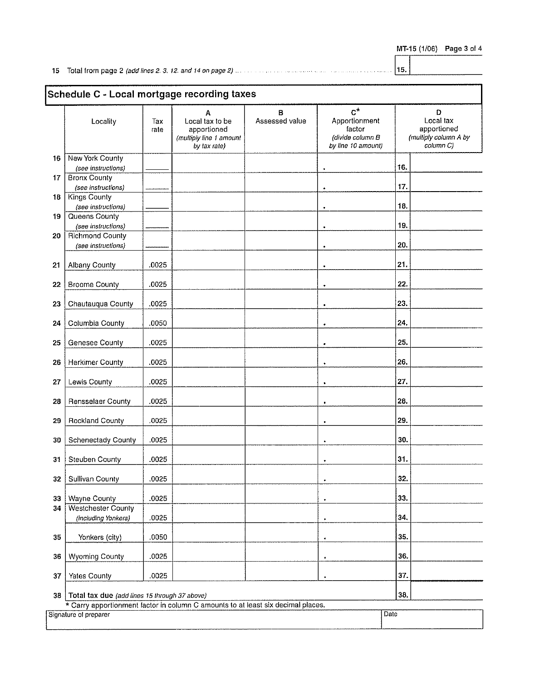|  |  | MT-15 (1/06) Page 3 of 4 |  |  |  |
|--|--|--------------------------|--|--|--|
|--|--|--------------------------|--|--|--|

|    | Schedule C - Local mortgage recording taxes                                      |             |                                                                                |                     |                                                                                  |      |                                                                     |
|----|----------------------------------------------------------------------------------|-------------|--------------------------------------------------------------------------------|---------------------|----------------------------------------------------------------------------------|------|---------------------------------------------------------------------|
|    | Locality                                                                         | Tax<br>rate | A<br>Local tax to be<br>apportioned<br>(multiply line 1 amount<br>by tax rate) | B<br>Assessed value | $C^{\star}$<br>Apportionment<br>factor<br>(divide column B<br>by line 10 amount) |      | Ð<br>Local tax<br>apportioned<br>(multiply column A by<br>column C) |
| 16 | New York County                                                                  |             |                                                                                |                     |                                                                                  | 16.  |                                                                     |
| 17 | (see instructions)<br><b>Bronx County</b>                                        |             |                                                                                |                     |                                                                                  |      |                                                                     |
|    | (see instructions)                                                               |             |                                                                                |                     | $\bullet$                                                                        | 17.  |                                                                     |
| 18 | <b>Kings County</b>                                                              |             |                                                                                |                     |                                                                                  |      |                                                                     |
|    | (see instructions)                                                               |             |                                                                                |                     | $\bullet$                                                                        | 18.  |                                                                     |
| 19 | Queens County                                                                    |             |                                                                                |                     |                                                                                  |      |                                                                     |
|    | (see instructions)                                                               |             |                                                                                |                     |                                                                                  | 19.  |                                                                     |
| 20 | <b>Richmond County</b>                                                           |             |                                                                                |                     |                                                                                  |      |                                                                     |
|    | (see instructions)                                                               |             |                                                                                |                     | ٠                                                                                | 20.  |                                                                     |
| 21 | <b>Albany County</b>                                                             | .0025       |                                                                                |                     | $\bullet$                                                                        | 21.  |                                                                     |
| 22 | <b>Broome County</b>                                                             | .0025       |                                                                                |                     | $\bullet$                                                                        | 22.  |                                                                     |
| 23 | Chautauqua County                                                                | .0025       |                                                                                |                     | $\bullet$                                                                        | 23.  |                                                                     |
| 24 | Columbia County                                                                  | .0050       |                                                                                |                     |                                                                                  | 24.  |                                                                     |
| 25 | Genesee County                                                                   | .0025       |                                                                                |                     | $\bullet$                                                                        | 25.  |                                                                     |
| 26 | <b>Herkimer County</b>                                                           | .0025       |                                                                                |                     | $\ddot{\phantom{0}}$                                                             | 26.  |                                                                     |
| 27 | Lewis County                                                                     | .0025       |                                                                                |                     | ٠                                                                                | 27.  |                                                                     |
| 28 | <b>Rensselaer County</b>                                                         | .0025       |                                                                                |                     | ٠                                                                                | 28.  |                                                                     |
| 29 | <b>Rockland County</b>                                                           | .0025       |                                                                                |                     |                                                                                  | 29.  |                                                                     |
| 30 | Schenectady County                                                               | .0025       |                                                                                |                     | $\bullet$                                                                        | 30.  |                                                                     |
| 31 | <b>Steuben County</b>                                                            | .0025       |                                                                                |                     | $\bullet$                                                                        | 31.  |                                                                     |
| 32 | Sullivan County                                                                  | .0025       |                                                                                |                     | ٠                                                                                | 32.  |                                                                     |
| 33 | Wayne County                                                                     | .0025       |                                                                                |                     | ٠                                                                                | 33.  |                                                                     |
| 34 | Westchester County                                                               |             |                                                                                |                     |                                                                                  |      |                                                                     |
|    | (including Yonkers)                                                              | .0025       |                                                                                |                     | $\bullet$                                                                        | 34.  |                                                                     |
| 35 | Yonkers (city)                                                                   | .0050       |                                                                                |                     | ٠                                                                                | 35.  |                                                                     |
| 36 | <b>Wyoming County</b>                                                            | .0025       |                                                                                |                     | ٠                                                                                | 36.  |                                                                     |
| 37 | Yates County                                                                     | .0025       |                                                                                |                     |                                                                                  | 37.  |                                                                     |
| 38 | Total tax due (add lines 15 through 37 above)                                    |             |                                                                                |                     |                                                                                  | 38.  |                                                                     |
|    | * Carry apportionment factor in column C amounts to at least six decimal places. |             |                                                                                |                     |                                                                                  |      |                                                                     |
|    | Signature of preparer                                                            |             |                                                                                |                     |                                                                                  | Dale |                                                                     |